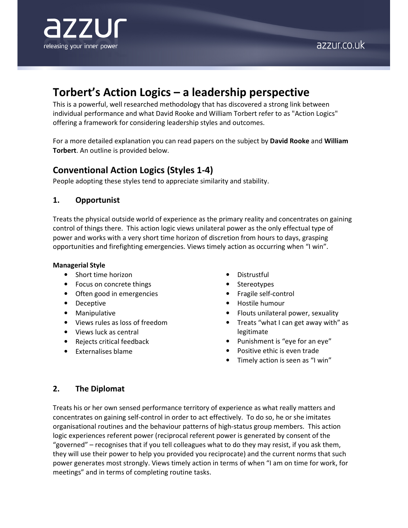

# azzur.co.uk

# Torbert's Action Logics – a leadership perspective

This is a powerful, well researched methodology that has discovered a strong link between individual performance and what David Rooke and William Torbert refer to as "Action Logics" offering a framework for considering leadership styles and outcomes.

For a more detailed explanation you can read papers on the subject by David Rooke and William Torbert. An outline is provided below.

# Conventional Action Logics (Styles 1-4)

People adopting these styles tend to appreciate similarity and stability.

## 1. Opportunist

Treats the physical outside world of experience as the primary reality and concentrates on gaining control of things there. This action logic views unilateral power as the only effectual type of power and works with a very short time horizon of discretion from hours to days, grasping opportunities and firefighting emergencies. Views timely action as occurring when "I win".

#### Managerial Style

- Short time horizon
- Focus on concrete things
- Often good in emergencies
- Deceptive
- Manipulative
- Views rules as loss of freedom
- Views luck as central
- Rejects critical feedback
- Externalises blame
- Distrustful
- **Stereotypes**
- Fragile self-control
- Hostile humour
- Flouts unilateral power, sexuality
- Treats "what I can get away with" as legitimate
- Punishment is "eye for an eye"
- Positive ethic is even trade
- Timely action is seen as "I win"

# 2. The Diplomat

Treats his or her own sensed performance territory of experience as what really matters and concentrates on gaining self-control in order to act effectively. To do so, he or she imitates organisational routines and the behaviour patterns of high-status group members. This action logic experiences referent power (reciprocal referent power is generated by consent of the "governed" – recognises that if you tell colleagues what to do they may resist, if you ask them, they will use their power to help you provided you reciprocate) and the current norms that such power generates most strongly. Views timely action in terms of when "I am on time for work, for meetings" and in terms of completing routine tasks.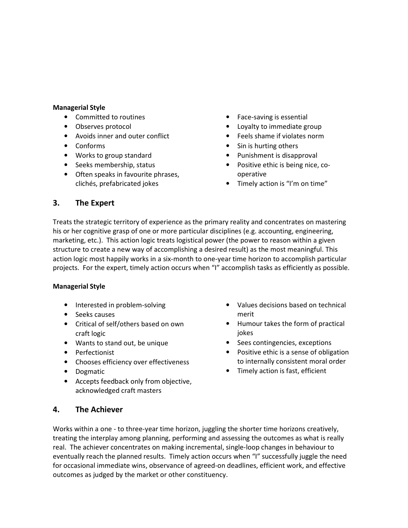#### Managerial Style

- Committed to routines
- Observes protocol
- Avoids inner and outer conflict
- Conforms
- Works to group standard
- Seeks membership, status
- Often speaks in favourite phrases, clichés, prefabricated jokes
- Face-saving is essential
- Loyalty to immediate group
- Feels shame if violates norm
- Sin is hurting others
- Punishment is disapproval
- Positive ethic is being nice, cooperative
- Timely action is "I'm on time"

# 3. The Expert

Treats the strategic territory of experience as the primary reality and concentrates on mastering his or her cognitive grasp of one or more particular disciplines (e.g. accounting, engineering, marketing, etc.). This action logic treats logistical power (the power to reason within a given structure to create a new way of accomplishing a desired result) as the most meaningful. This action logic most happily works in a six-month to one-year time horizon to accomplish particular projects. For the expert, timely action occurs when "I" accomplish tasks as efficiently as possible.

#### Managerial Style

- Interested in problem-solving
- Seeks causes
- Critical of self/others based on own craft logic
- Wants to stand out, be unique
- Perfectionist
- Chooses efficiency over effectiveness
- Dogmatic
- Accepts feedback only from objective, acknowledged craft masters
- Values decisions based on technical merit
- Humour takes the form of practical jokes
- Sees contingencies, exceptions
- Positive ethic is a sense of obligation to internally consistent moral order
- Timely action is fast, efficient

# 4. The Achiever

Works within a one - to three-year time horizon, juggling the shorter time horizons creatively, treating the interplay among planning, performing and assessing the outcomes as what is really real. The achiever concentrates on making incremental, single-loop changes in behaviour to eventually reach the planned results. Timely action occurs when "I" successfully juggle the need for occasional immediate wins, observance of agreed-on deadlines, efficient work, and effective outcomes as judged by the market or other constituency.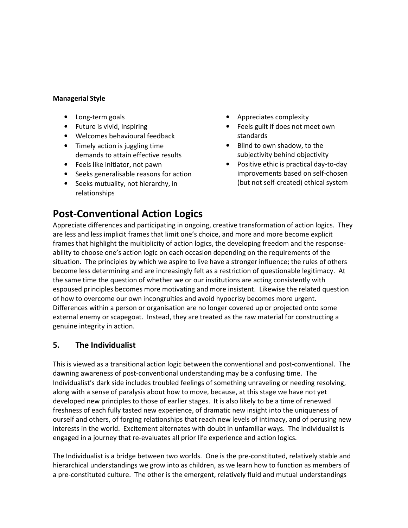#### Managerial Style

- Long-term goals
- Future is vivid, inspiring
- Welcomes behavioural feedback
- Timely action is juggling time demands to attain effective results
- Feels like initiator, not pawn
- Seeks generalisable reasons for action
- Seeks mutuality, not hierarchy, in relationships
- Appreciates complexity
- Feels guilt if does not meet own standards
- Blind to own shadow, to the subjectivity behind objectivity
- Positive ethic is practical day-to-day improvements based on self-chosen (but not self-created) ethical system

Post-Conventional Action Logics Appreciate differences and participating in ongoing, creative transformation of action logics. They are less and less implicit frames that limit one's choice, and more and more become explicit frames that highlight the multiplicity of action logics, the developing freedom and the responseability to choose one's action logic on each occasion depending on the requirements of the situation. The principles by which we aspire to live have a stronger influence; the rules of others become less determining and are increasingly felt as a restriction of questionable legitimacy. At the same time the question of whether we or our institutions are acting consistently with espoused principles becomes more motivating and more insistent. Likewise the related question of how to overcome our own incongruities and avoid hypocrisy becomes more urgent. Differences within a person or organisation are no longer covered up or projected onto some external enemy or scapegoat. Instead, they are treated as the raw material for constructing a genuine integrity in action.

# 5. The Individualist

This is viewed as a transitional action logic between the conventional and post-conventional. The dawning awareness of post-conventional understanding may be a confusing time. The Individualist's dark side includes troubled feelings of something unraveling or needing resolving, along with a sense of paralysis about how to move, because, at this stage we have not yet developed new principles to those of earlier stages. It is also likely to be a time of renewed freshness of each fully tasted new experience, of dramatic new insight into the uniqueness of ourself and others, of forging relationships that reach new levels of intimacy, and of perusing new interests in the world. Excitement alternates with doubt in unfamiliar ways. The individualist is engaged in a journey that re-evaluates all prior life experience and action logics.

The Individualist is a bridge between two worlds. One is the pre-constituted, relatively stable and hierarchical understandings we grow into as children, as we learn how to function as members of a pre-constituted culture. The other is the emergent, relatively fluid and mutual understandings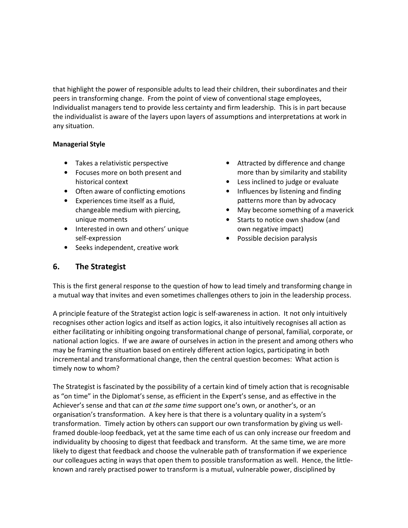that highlight the power of responsible adults to lead their children, their subordinates and their peers in transforming change. From the point of view of conventional stage employees, Individualist managers tend to provide less certainty and firm leadership. This is in part because the individualist is aware of the layers upon layers of assumptions and interpretations at work in any situation.

## Managerial Style

- Takes a relativistic perspective
- Focuses more on both present and historical context
- Often aware of conflicting emotions
- Experiences time itself as a fluid, changeable medium with piercing, unique moments
- Interested in own and others' unique self-expression
- Seeks independent, creative work
- Attracted by difference and change more than by similarity and stability
- Less inclined to judge or evaluate
- Influences by listening and finding patterns more than by advocacy
- May become something of a maverick
- Starts to notice own shadow (and own negative impact)
- Possible decision paralysis

# 6. The Strategist

This is the first general response to the question of how to lead timely and transforming change in a mutual way that invites and even sometimes challenges others to join in the leadership process.

A principle feature of the Strategist action logic is self-awareness in action. It not only intuitively recognises other action logics and itself as action logics, it also intuitively recognises all action as either facilitating or inhibiting ongoing transformational change of personal, familial, corporate, or national action logics. If we are aware of ourselves in action in the present and among others who may be framing the situation based on entirely different action logics, participating in both incremental and transformational change, then the central question becomes: What action is timely now to whom?

The Strategist is fascinated by the possibility of a certain kind of timely action that is recognisable as "on time" in the Diplomat's sense, as efficient in the Expert's sense, and as effective in the Achiever's sense and that can at the same time support one's own, or another's, or an organisation's transformation. A key here is that there is a voluntary quality in a system's transformation. Timely action by others can support our own transformation by giving us wellframed double-loop feedback, yet at the same time each of us can only increase our freedom and individuality by choosing to digest that feedback and transform. At the same time, we are more likely to digest that feedback and choose the vulnerable path of transformation if we experience our colleagues acting in ways that open them to possible transformation as well. Hence, the littleknown and rarely practised power to transform is a mutual, vulnerable power, disciplined by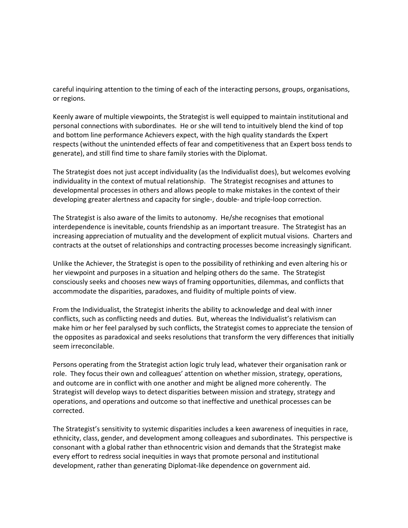careful inquiring attention to the timing of each of the interacting persons, groups, organisations, or regions.

Keenly aware of multiple viewpoints, the Strategist is well equipped to maintain institutional and personal connections with subordinates. He or she will tend to intuitively blend the kind of top and bottom line performance Achievers expect, with the high quality standards the Expert respects (without the unintended effects of fear and competitiveness that an Expert boss tends to generate), and still find time to share family stories with the Diplomat.

The Strategist does not just accept individuality (as the Individualist does), but welcomes evolving individuality in the context of mutual relationship. The Strategist recognises and attunes to developmental processes in others and allows people to make mistakes in the context of their developing greater alertness and capacity for single-, double- and triple-loop correction.

The Strategist is also aware of the limits to autonomy. He/she recognises that emotional interdependence is inevitable, counts friendship as an important treasure. The Strategist has an increasing appreciation of mutuality and the development of explicit mutual visions. Charters and contracts at the outset of relationships and contracting processes become increasingly significant.

Unlike the Achiever, the Strategist is open to the possibility of rethinking and even altering his or her viewpoint and purposes in a situation and helping others do the same. The Strategist consciously seeks and chooses new ways of framing opportunities, dilemmas, and conflicts that accommodate the disparities, paradoxes, and fluidity of multiple points of view.

From the Individualist, the Strategist inherits the ability to acknowledge and deal with inner conflicts, such as conflicting needs and duties. But, whereas the Individualist's relativism can make him or her feel paralysed by such conflicts, the Strategist comes to appreciate the tension of the opposites as paradoxical and seeks resolutions that transform the very differences that initially seem irreconcilable.

Persons operating from the Strategist action logic truly lead, whatever their organisation rank or role. They focus their own and colleagues' attention on whether mission, strategy, operations, and outcome are in conflict with one another and might be aligned more coherently. The Strategist will develop ways to detect disparities between mission and strategy, strategy and operations, and operations and outcome so that ineffective and unethical processes can be corrected.

The Strategist's sensitivity to systemic disparities includes a keen awareness of inequities in race, ethnicity, class, gender, and development among colleagues and subordinates. This perspective is consonant with a global rather than ethnocentric vision and demands that the Strategist make every effort to redress social inequities in ways that promote personal and institutional development, rather than generating Diplomat-like dependence on government aid.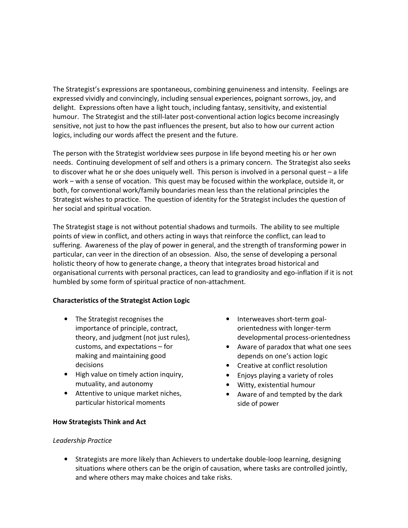The Strategist's expressions are spontaneous, combining genuineness and intensity. Feelings are expressed vividly and convincingly, including sensual experiences, poignant sorrows, joy, and delight. Expressions often have a light touch, including fantasy, sensitivity, and existential humour. The Strategist and the still-later post-conventional action logics become increasingly sensitive, not just to how the past influences the present, but also to how our current action logics, including our words affect the present and the future.

The person with the Strategist worldview sees purpose in life beyond meeting his or her own needs. Continuing development of self and others is a primary concern. The Strategist also seeks to discover what he or she does uniquely well. This person is involved in a personal quest – a life work – with a sense of vocation. This quest may be focused within the workplace, outside it, or both, for conventional work/family boundaries mean less than the relational principles the Strategist wishes to practice. The question of identity for the Strategist includes the question of her social and spiritual vocation.

The Strategist stage is not without potential shadows and turmoils. The ability to see multiple points of view in conflict, and others acting in ways that reinforce the conflict, can lead to suffering. Awareness of the play of power in general, and the strength of transforming power in particular, can veer in the direction of an obsession. Also, the sense of developing a personal holistic theory of how to generate change, a theory that integrates broad historical and organisational currents with personal practices, can lead to grandiosity and ego-inflation if it is not humbled by some form of spiritual practice of non-attachment.

## Characteristics of the Strategist Action Logic

- The Strategist recognises the importance of principle, contract, theory, and judgment (not just rules), customs, and expectations – for making and maintaining good decisions
- High value on timely action inquiry, mutuality, and autonomy
- Attentive to unique market niches, particular historical moments
- Interweaves short-term goalorientedness with longer-term developmental process-orientedness
- Aware of paradox that what one sees depends on one's action logic
- Creative at conflict resolution
- Enjoys playing a variety of roles
- Witty, existential humour
- Aware of and tempted by the dark side of power

#### How Strategists Think and Act

## Leadership Practice

• Strategists are more likely than Achievers to undertake double-loop learning, designing situations where others can be the origin of causation, where tasks are controlled jointly, and where others may make choices and take risks.